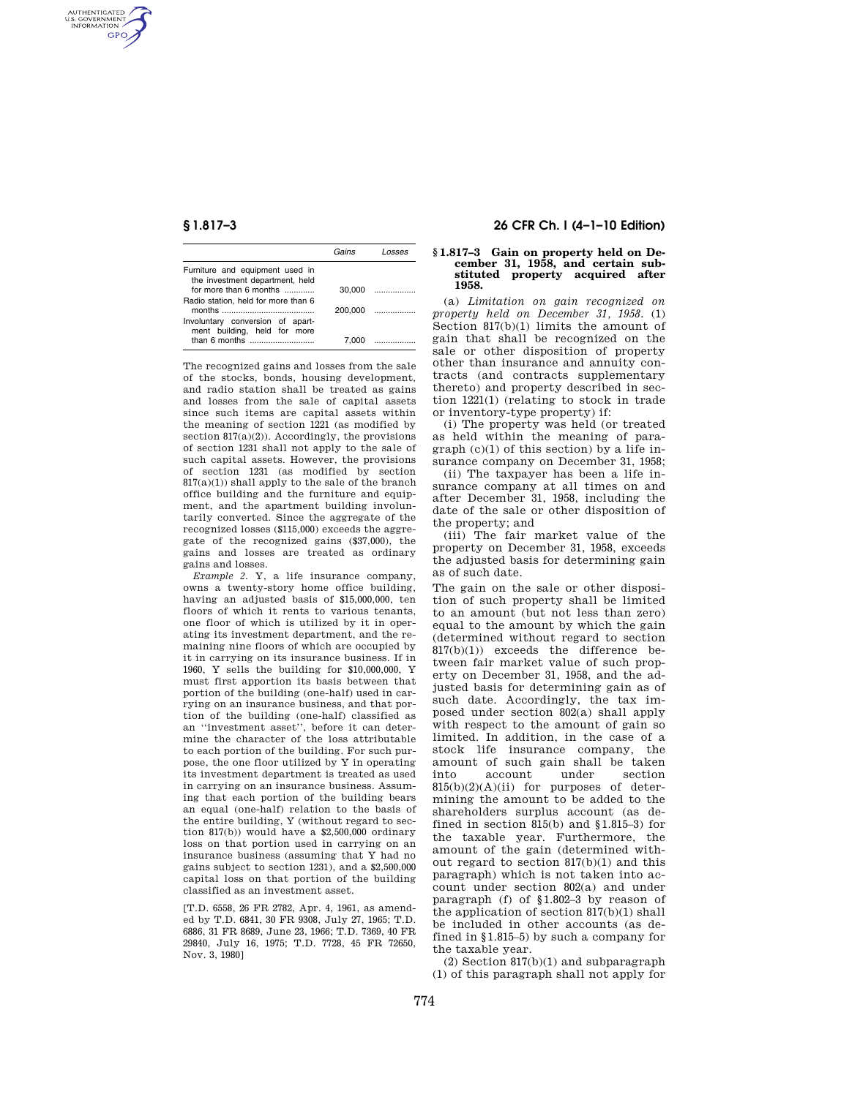AUTHENTICATED<br>U.S. GOVERNMENT<br>INFORMATION **GPO** 

|                                                                    | Gains  | l neses                                                    |
|--------------------------------------------------------------------|--------|------------------------------------------------------------|
| Furniture and equipment used in<br>the investment department, held |        |                                                            |
| for more than 6 months                                             | 30.000 | <u>a sa matang pangangang panganggang panganggang pang</u> |
| Radio station, held for more than 6                                |        | 200.000                                                    |
| Involuntary conversion of apart-<br>ment building, held for more   |        |                                                            |
|                                                                    | 7.000  |                                                            |

The recognized gains and losses from the sale of the stocks, bonds, housing development, and radio station shall be treated as gains and losses from the sale of capital assets since such items are capital assets within the meaning of section 1221 (as modified by section  $817(a)(2)$ ). Accordingly, the provisions of section 1231 shall not apply to the sale of such capital assets. However, the provisions of section 1231 (as modified by section  $817(a)(1)$ ) shall apply to the sale of the branch office building and the furniture and equipment, and the apartment building involuntarily converted. Since the aggregate of the recognized losses (\$115,000) exceeds the aggregate of the recognized gains (\$37,000), the gains and losses are treated as ordinary gains and losses.

*Example 2.* Y, a life insurance company, owns a twenty-story home office building, having an adjusted basis of \$15,000,000, ten floors of which it rents to various tenants, one floor of which is utilized by it in operating its investment department, and the remaining nine floors of which are occupied by it in carrying on its insurance business. If in 1960, Y sells the building for \$10,000,000, Y must first apportion its basis between that portion of the building (one-half) used in carrying on an insurance business, and that portion of the building (one-half) classified as an ''investment asset'', before it can determine the character of the loss attributable to each portion of the building. For such purpose, the one floor utilized by Y in operating its investment department is treated as used in carrying on an insurance business. Assuming that each portion of the building bears an equal (one-half) relation to the basis of the entire building, Y (without regard to section 817(b)) would have a \$2,500,000 ordinary loss on that portion used in carrying on an insurance business (assuming that Y had no gains subject to section 1231), and a \$2,500,000 capital loss on that portion of the building classified as an investment asset.

[T.D. 6558, 26 FR 2782, Apr. 4, 1961, as amended by T.D. 6841, 30 FR 9308, July 27, 1965; T.D. 6886, 31 FR 8689, June 23, 1966; T.D. 7369, 40 FR 29840, July 16, 1975; T.D. 7728, 45 FR 72650, Nov. 3, 1980]

## **§ 1.817–3 26 CFR Ch. I (4–1–10 Edition)**

# **§ 1.817–3 Gain on property held on De-cember 31, 1958, and certain substituted property acquired after 1958.**

(a) *Limitation on gain recognized on property held on December 31, 1958.* (1) Section 817(b)(1) limits the amount of gain that shall be recognized on the sale or other disposition of property other than insurance and annuity contracts (and contracts supplementary thereto) and property described in section 1221(1) (relating to stock in trade or inventory-type property) if:

(i) The property was held (or treated as held within the meaning of paragraph (c)(1) of this section) by a life insurance company on December 31, 1958;

(ii) The taxpayer has been a life insurance company at all times on and after December 31, 1958, including the date of the sale or other disposition of the property; and

(iii) The fair market value of the property on December 31, 1958, exceeds the adjusted basis for determining gain as of such date.

The gain on the sale or other disposition of such property shall be limited to an amount (but not less than zero) equal to the amount by which the gain (determined without regard to section 817(b)(1)) exceeds the difference between fair market value of such property on December 31, 1958, and the adjusted basis for determining gain as of such date. Accordingly, the tax imposed under section 802(a) shall apply with respect to the amount of gain so limited. In addition, in the case of a stock life insurance company, the amount of such gain shall be taken<br>into account under section into account under section  $815(b)(2)(A)(ii)$  for purposes of determining the amount to be added to the shareholders surplus account (as defined in section  $815(b)$  and  $$1.815-3)$  for the taxable year. Furthermore, the amount of the gain (determined without regard to section 817(b)(1) and this paragraph) which is not taken into account under section 802(a) and under paragraph (f) of §1.802–3 by reason of the application of section 817(b)(1) shall be included in other accounts (as defined in §1.815–5) by such a company for the taxable year.

(2) Section 817(b)(1) and subparagraph (1) of this paragraph shall not apply for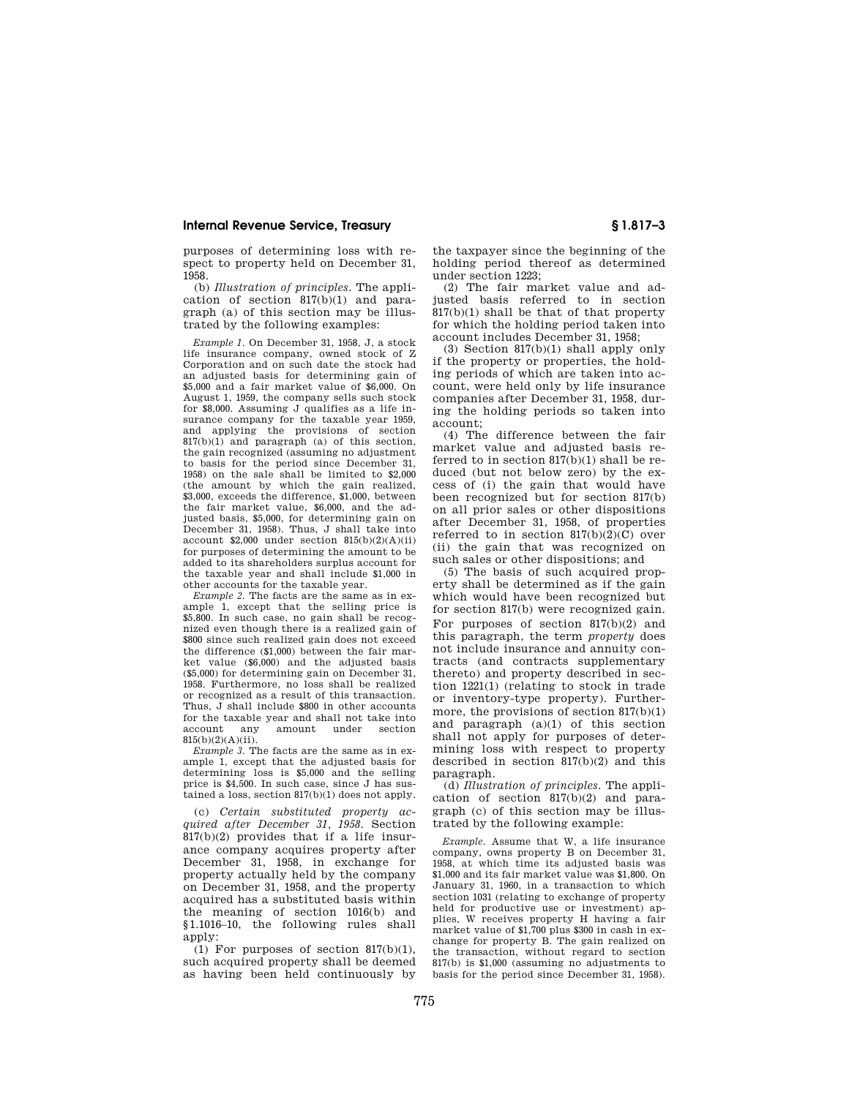### **Internal Revenue Service, Treasury § 1.817–3**

purposes of determining loss with respect to property held on December 31, 1958.

(b) *Illustration of principles.* The application of section 817(b)(1) and paragraph (a) of this section may be illustrated by the following examples:

*Example 1.* On December 31, 1958, J, a stock life insurance company, owned stock of Z Corporation and on such date the stock had an adjusted basis for determining gain of \$5,000 and a fair market value of \$6,000. On August 1, 1959, the company sells such stock for \$8,000. Assuming J qualifies as a life insurance company for the taxable year 1959, and applying the provisions of section 817(b)(1) and paragraph (a) of this section, the gain recognized (assuming no adjustment to basis for the period since December 31, 1958) on the sale shall be limited to \$2,000 (the amount by which the gain realized, \$3,000, exceeds the difference, \$1,000, between the fair market value, \$6,000, and the adjusted basis, \$5,000, for determining gain on December 31, 1958). Thus, J shall take into account  $$2,000$  under section  $815(b)(2)(A)(ii)$ for purposes of determining the amount to be added to its shareholders surplus account for the taxable year and shall include \$1,000 in other accounts for the taxable year.

*Example 2.* The facts are the same as in example 1, except that the selling price is \$5,800. In such case, no gain shall be recognized even though there is a realized gain of \$800 since such realized gain does not exceed the difference (\$1,000) between the fair market value (\$6,000) and the adjusted basis (\$5,000) for determining gain on December 31, 1958. Furthermore, no loss shall be realized or recognized as a result of this transaction. Thus, J shall include \$800 in other accounts for the taxable year and shall not take into<br>account any amount under section account any amount under  $815(b)(2)(A)(ii)$ .

*Example 3.* The facts are the same as in example 1, except that the adjusted basis for determining loss is \$5,000 and the selling price is \$4,500. In such case, since J has sustained a loss, section 817(b)(1) does not apply.

(c) *Certain substituted property acquired after December 31, 1958.* Section 817(b)(2) provides that if a life insurance company acquires property after December 31, 1958, in exchange for property actually held by the company on December 31, 1958, and the property acquired has a substituted basis within the meaning of section 1016(b) and §1.1016–10, the following rules shall apply:

 $(1)$  For purposes of section  $817(b)(1)$ . such acquired property shall be deemed as having been held continuously by the taxpayer since the beginning of the holding period thereof as determined under section 1223;

(2) The fair market value and adjusted basis referred to in section  $817(b)(1)$  shall be that of that property for which the holding period taken into account includes December 31, 1958;

(3) Section 817(b)(1) shall apply only if the property or properties, the holding periods of which are taken into account, were held only by life insurance companies after December 31, 1958, during the holding periods so taken into account;

(4) The difference between the fair market value and adjusted basis referred to in section 817(b)(1) shall be reduced (but not below zero) by the excess of (i) the gain that would have been recognized but for section 817(b) on all prior sales or other dispositions after December 31, 1958, of properties referred to in section  $817(b)(2)(C)$  over (ii) the gain that was recognized on such sales or other dispositions; and

(5) The basis of such acquired property shall be determined as if the gain which would have been recognized but for section 817(b) were recognized gain. For purposes of section 817(b)(2) and this paragraph, the term *property* does not include insurance and annuity contracts (and contracts supplementary thereto) and property described in section 1221(1) (relating to stock in trade or inventory-type property). Furthermore, the provisions of section 817(b)(1) and paragraph (a)(1) of this section shall not apply for purposes of determining loss with respect to property described in section 817(b)(2) and this paragraph.

(d) *Illustration of principles.* The application of section  $817(b)(2)$  and paragraph (c) of this section may be illustrated by the following example:

*Example.* Assume that W, a life insurance company, owns property B on December 31, 1958, at which time its adjusted basis was \$1,000 and its fair market value was \$1,800. On January 31, 1960, in a transaction to which section 1031 (relating to exchange of property held for productive use or investment) applies, W receives property H having a fair market value of \$1,700 plus \$300 in cash in exchange for property B. The gain realized on the transaction, without regard to section 817(b) is \$1,000 (assuming no adjustments to basis for the period since December 31, 1958).